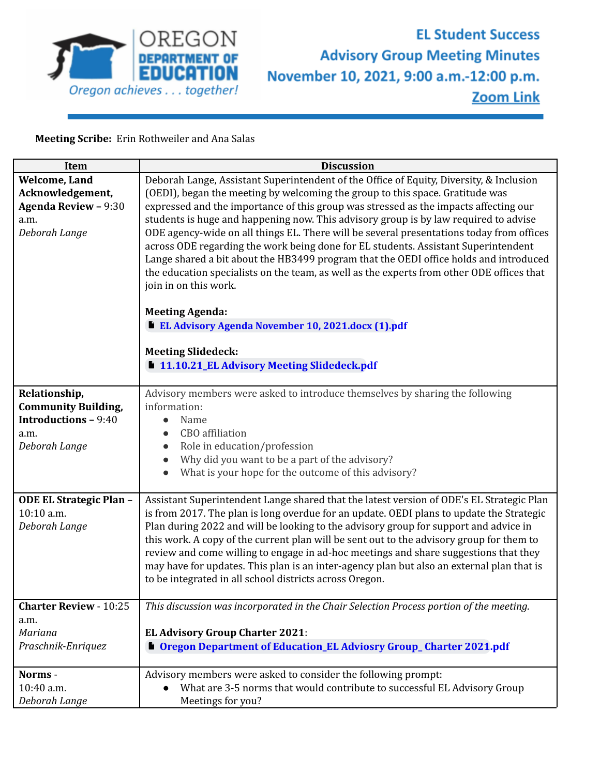

## **EL Student Success Advisory Group Meeting Minutes** November 10, 2021, 9:00 a.m.-12:00 p.m. **Zoom Link**

**Meeting Scribe:** Erin Rothweiler and Ana Salas

| Item                          | <b>Discussion</b>                                                                         |
|-------------------------------|-------------------------------------------------------------------------------------------|
| Welcome, Land                 | Deborah Lange, Assistant Superintendent of the Office of Equity, Diversity, & Inclusion   |
| Acknowledgement,              | (OEDI), began the meeting by welcoming the group to this space. Gratitude was             |
| <b>Agenda Review - 9:30</b>   | expressed and the importance of this group was stressed as the impacts affecting our      |
| a.m.                          | students is huge and happening now. This advisory group is by law required to advise      |
| Deborah Lange                 | ODE agency-wide on all things EL. There will be several presentations today from offices  |
|                               | across ODE regarding the work being done for EL students. Assistant Superintendent        |
|                               | Lange shared a bit about the HB3499 program that the OEDI office holds and introduced     |
|                               | the education specialists on the team, as well as the experts from other ODE offices that |
|                               | join in on this work.                                                                     |
|                               | <b>Meeting Agenda:</b>                                                                    |
|                               | EL Advisory Agenda November 10, 2021.docx (1).pdf                                         |
|                               | <b>Meeting Slidedeck:</b>                                                                 |
|                               | 11.10.21_EL Advisory Meeting Slidedeck.pdf                                                |
| Relationship,                 | Advisory members were asked to introduce themselves by sharing the following              |
| <b>Community Building,</b>    | information:                                                                              |
| <b>Introductions - 9:40</b>   | Name<br>$\bullet$                                                                         |
| a.m.                          | CBO affiliation                                                                           |
| Deborah Lange                 | Role in education/profession                                                              |
|                               | Why did you want to be a part of the advisory?<br>$\bullet$                               |
|                               | What is your hope for the outcome of this advisory?                                       |
| ODE EL Strategic Plan -       | Assistant Superintendent Lange shared that the latest version of ODE's EL Strategic Plan  |
| 10:10 a.m.                    | is from 2017. The plan is long overdue for an update. OEDI plans to update the Strategic  |
| Deborah Lange                 | Plan during 2022 and will be looking to the advisory group for support and advice in      |
|                               | this work. A copy of the current plan will be sent out to the advisory group for them to  |
|                               | review and come willing to engage in ad-hoc meetings and share suggestions that they      |
|                               | may have for updates. This plan is an inter-agency plan but also an external plan that is |
|                               | to be integrated in all school districts across Oregon.                                   |
| <b>Charter Review - 10:25</b> | This discussion was incorporated in the Chair Selection Process portion of the meeting.   |
| a.m.                          |                                                                                           |
| Mariana                       | <b>EL Advisory Group Charter 2021:</b>                                                    |
| Praschnik-Enriquez            | <b>Degon Department of Education_EL Adviosry Group_Charter 2021.pdf</b>                   |
| Norms -                       | Advisory members were asked to consider the following prompt:                             |
| 10:40 a.m.                    | What are 3-5 norms that would contribute to successful EL Advisory Group                  |
| Deborah Lange                 | Meetings for you?                                                                         |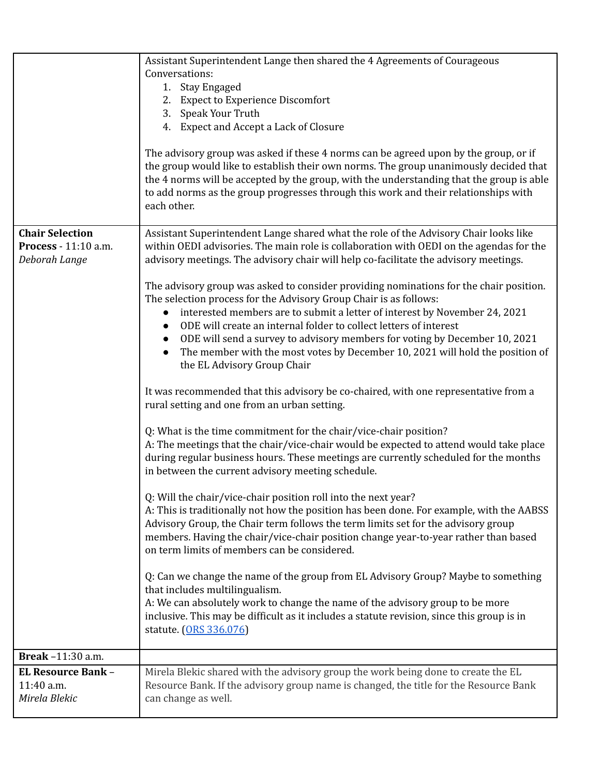|                                                                 | Assistant Superintendent Lange then shared the 4 Agreements of Courageous                                                                                                                                                                                                                                                                                                                                                                                                                                                 |
|-----------------------------------------------------------------|---------------------------------------------------------------------------------------------------------------------------------------------------------------------------------------------------------------------------------------------------------------------------------------------------------------------------------------------------------------------------------------------------------------------------------------------------------------------------------------------------------------------------|
|                                                                 | Conversations:                                                                                                                                                                                                                                                                                                                                                                                                                                                                                                            |
|                                                                 | 1. Stay Engaged                                                                                                                                                                                                                                                                                                                                                                                                                                                                                                           |
|                                                                 | 2. Expect to Experience Discomfort                                                                                                                                                                                                                                                                                                                                                                                                                                                                                        |
|                                                                 | 3. Speak Your Truth                                                                                                                                                                                                                                                                                                                                                                                                                                                                                                       |
|                                                                 | 4. Expect and Accept a Lack of Closure                                                                                                                                                                                                                                                                                                                                                                                                                                                                                    |
|                                                                 | The advisory group was asked if these 4 norms can be agreed upon by the group, or if<br>the group would like to establish their own norms. The group unanimously decided that<br>the 4 norms will be accepted by the group, with the understanding that the group is able<br>to add norms as the group progresses through this work and their relationships with<br>each other.                                                                                                                                           |
| <b>Chair Selection</b><br>Process - 11:10 a.m.<br>Deborah Lange | Assistant Superintendent Lange shared what the role of the Advisory Chair looks like<br>within OEDI advisories. The main role is collaboration with OEDI on the agendas for the<br>advisory meetings. The advisory chair will help co-facilitate the advisory meetings.                                                                                                                                                                                                                                                   |
|                                                                 | The advisory group was asked to consider providing nominations for the chair position.<br>The selection process for the Advisory Group Chair is as follows:<br>interested members are to submit a letter of interest by November 24, 2021<br>$\bullet$<br>ODE will create an internal folder to collect letters of interest<br>ODE will send a survey to advisory members for voting by December 10, 2021<br>The member with the most votes by December 10, 2021 will hold the position of<br>the EL Advisory Group Chair |
|                                                                 | It was recommended that this advisory be co-chaired, with one representative from a<br>rural setting and one from an urban setting.                                                                                                                                                                                                                                                                                                                                                                                       |
|                                                                 | Q: What is the time commitment for the chair/vice-chair position?<br>A: The meetings that the chair/vice-chair would be expected to attend would take place<br>during regular business hours. These meetings are currently scheduled for the months<br>in between the current advisory meeting schedule.                                                                                                                                                                                                                  |
|                                                                 | Q: Will the chair/vice-chair position roll into the next year?<br>A: This is traditionally not how the position has been done. For example, with the AABSS<br>Advisory Group, the Chair term follows the term limits set for the advisory group<br>members. Having the chair/vice-chair position change year-to-year rather than based<br>on term limits of members can be considered.                                                                                                                                    |
|                                                                 | Q: Can we change the name of the group from EL Advisory Group? Maybe to something<br>that includes multilingualism.<br>A: We can absolutely work to change the name of the advisory group to be more<br>inclusive. This may be difficult as it includes a statute revision, since this group is in<br>statute. (ORS 336.076)                                                                                                                                                                                              |
| Break -11:30 a.m.                                               |                                                                                                                                                                                                                                                                                                                                                                                                                                                                                                                           |
| <b>EL Resource Bank -</b>                                       | Mirela Blekic shared with the advisory group the work being done to create the EL                                                                                                                                                                                                                                                                                                                                                                                                                                         |
| 11:40 a.m.<br>Mirela Blekic                                     | Resource Bank. If the advisory group name is changed, the title for the Resource Bank<br>can change as well.                                                                                                                                                                                                                                                                                                                                                                                                              |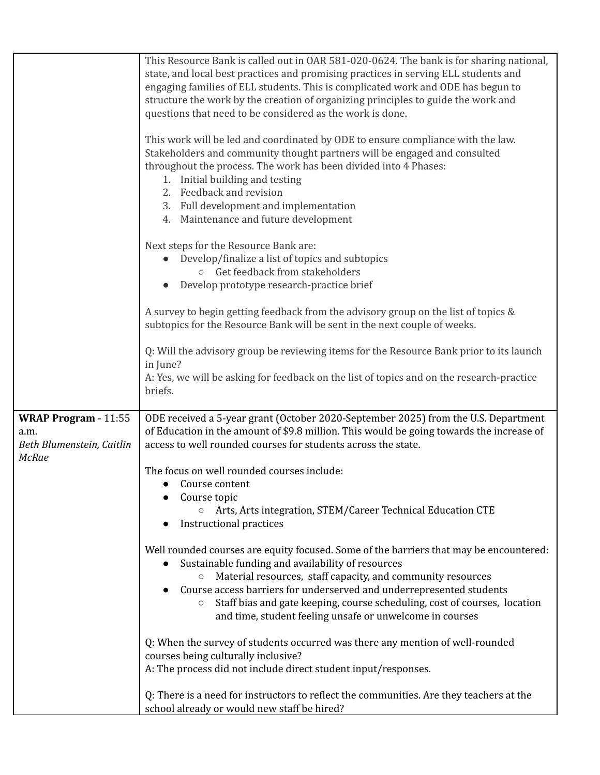|                                                                                  | This Resource Bank is called out in OAR 581-020-0624. The bank is for sharing national,<br>state, and local best practices and promising practices in serving ELL students and<br>engaging families of ELL students. This is complicated work and ODE has begun to<br>structure the work by the creation of organizing principles to guide the work and<br>questions that need to be considered as the work is done.<br>This work will be led and coordinated by ODE to ensure compliance with the law.<br>Stakeholders and community thought partners will be engaged and consulted<br>throughout the process. The work has been divided into 4 Phases:<br>1. Initial building and testing<br>2. Feedback and revision<br>3. Full development and implementation<br>4. Maintenance and future development |
|----------------------------------------------------------------------------------|------------------------------------------------------------------------------------------------------------------------------------------------------------------------------------------------------------------------------------------------------------------------------------------------------------------------------------------------------------------------------------------------------------------------------------------------------------------------------------------------------------------------------------------------------------------------------------------------------------------------------------------------------------------------------------------------------------------------------------------------------------------------------------------------------------|
|                                                                                  | Next steps for the Resource Bank are:<br>Develop/finalize a list of topics and subtopics<br>o Get feedback from stakeholders<br>Develop prototype research-practice brief                                                                                                                                                                                                                                                                                                                                                                                                                                                                                                                                                                                                                                  |
|                                                                                  | A survey to begin getting feedback from the advisory group on the list of topics &<br>subtopics for the Resource Bank will be sent in the next couple of weeks.                                                                                                                                                                                                                                                                                                                                                                                                                                                                                                                                                                                                                                            |
|                                                                                  | Q: Will the advisory group be reviewing items for the Resource Bank prior to its launch<br>in June?<br>A: Yes, we will be asking for feedback on the list of topics and on the research-practice<br>briefs.                                                                                                                                                                                                                                                                                                                                                                                                                                                                                                                                                                                                |
|                                                                                  |                                                                                                                                                                                                                                                                                                                                                                                                                                                                                                                                                                                                                                                                                                                                                                                                            |
| <b>WRAP Program - 11:55</b><br>a.m.<br>Beth Blumenstein, Caitlin<br><b>McRae</b> | ODE received a 5-year grant (October 2020-September 2025) from the U.S. Department<br>of Education in the amount of \$9.8 million. This would be going towards the increase of<br>access to well rounded courses for students across the state.                                                                                                                                                                                                                                                                                                                                                                                                                                                                                                                                                            |
|                                                                                  | The focus on well rounded courses include:<br>$\bullet$ Course content                                                                                                                                                                                                                                                                                                                                                                                                                                                                                                                                                                                                                                                                                                                                     |
|                                                                                  | Course topic<br>Arts, Arts integration, STEM/Career Technical Education CTE<br>$\circ$<br><b>Instructional practices</b>                                                                                                                                                                                                                                                                                                                                                                                                                                                                                                                                                                                                                                                                                   |
|                                                                                  | Well rounded courses are equity focused. Some of the barriers that may be encountered:<br>Sustainable funding and availability of resources<br>Material resources, staff capacity, and community resources<br>$\circ$<br>Course access barriers for underserved and underrepresented students<br>Staff bias and gate keeping, course scheduling, cost of courses, location<br>$\bigcirc$<br>and time, student feeling unsafe or unwelcome in courses                                                                                                                                                                                                                                                                                                                                                       |
|                                                                                  | Q: When the survey of students occurred was there any mention of well-rounded<br>courses being culturally inclusive?<br>A: The process did not include direct student input/responses.                                                                                                                                                                                                                                                                                                                                                                                                                                                                                                                                                                                                                     |
|                                                                                  | Q: There is a need for instructors to reflect the communities. Are they teachers at the<br>school already or would new staff be hired?                                                                                                                                                                                                                                                                                                                                                                                                                                                                                                                                                                                                                                                                     |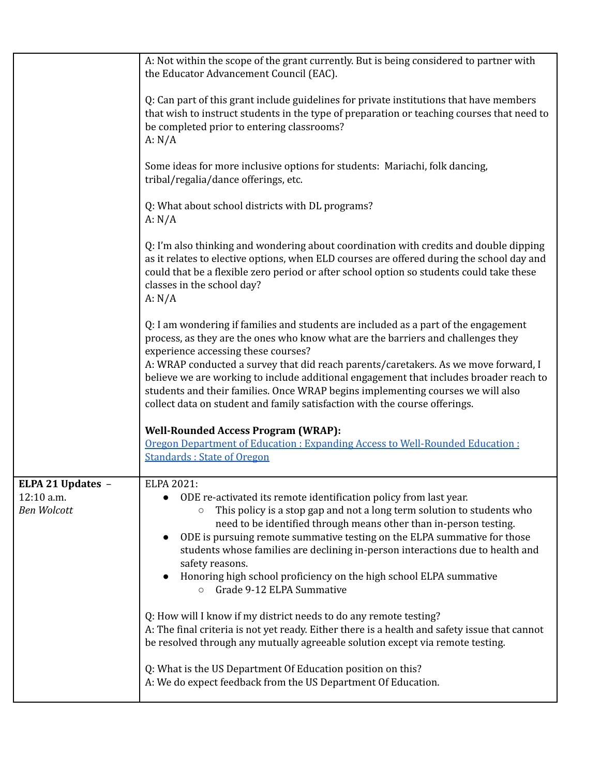|                                                       | A: Not within the scope of the grant currently. But is being considered to partner with<br>the Educator Advancement Council (EAC).                                                                                                                                                                                                                                                                                                                                                                                                                               |
|-------------------------------------------------------|------------------------------------------------------------------------------------------------------------------------------------------------------------------------------------------------------------------------------------------------------------------------------------------------------------------------------------------------------------------------------------------------------------------------------------------------------------------------------------------------------------------------------------------------------------------|
|                                                       | Q: Can part of this grant include guidelines for private institutions that have members<br>that wish to instruct students in the type of preparation or teaching courses that need to<br>be completed prior to entering classrooms?<br>A: N/A                                                                                                                                                                                                                                                                                                                    |
|                                                       | Some ideas for more inclusive options for students: Mariachi, folk dancing,<br>tribal/regalia/dance offerings, etc.                                                                                                                                                                                                                                                                                                                                                                                                                                              |
|                                                       | Q: What about school districts with DL programs?<br>A: N/A                                                                                                                                                                                                                                                                                                                                                                                                                                                                                                       |
|                                                       | Q: I'm also thinking and wondering about coordination with credits and double dipping<br>as it relates to elective options, when ELD courses are offered during the school day and<br>could that be a flexible zero period or after school option so students could take these<br>classes in the school day?<br>A: $N/A$                                                                                                                                                                                                                                         |
|                                                       | Q: I am wondering if families and students are included as a part of the engagement<br>process, as they are the ones who know what are the barriers and challenges they<br>experience accessing these courses?<br>A: WRAP conducted a survey that did reach parents/caretakers. As we move forward, I<br>believe we are working to include additional engagement that includes broader reach to<br>students and their families. Once WRAP begins implementing courses we will also<br>collect data on student and family satisfaction with the course offerings. |
|                                                       | <b>Well-Rounded Access Program (WRAP):</b><br>Oregon Department of Education : Expanding Access to Well-Rounded Education :<br><b>Standards: State of Oregon</b>                                                                                                                                                                                                                                                                                                                                                                                                 |
| ELPA 21 Updates -<br>12:10 a.m.<br><b>Ben Wolcott</b> | ELPA 2021:<br>ODE re-activated its remote identification policy from last year.<br>This policy is a stop gap and not a long term solution to students who<br>$\circ$<br>need to be identified through means other than in-person testing.<br>ODE is pursuing remote summative testing on the ELPA summative for those<br>students whose families are declining in-person interactions due to health and<br>safety reasons.<br>Honoring high school proficiency on the high school ELPA summative<br>o Grade 9-12 ELPA Summative                                  |
|                                                       | Q: How will I know if my district needs to do any remote testing?<br>A: The final criteria is not yet ready. Either there is a health and safety issue that cannot<br>be resolved through any mutually agreeable solution except via remote testing.                                                                                                                                                                                                                                                                                                             |
|                                                       | Q: What is the US Department Of Education position on this?<br>A: We do expect feedback from the US Department Of Education.                                                                                                                                                                                                                                                                                                                                                                                                                                     |